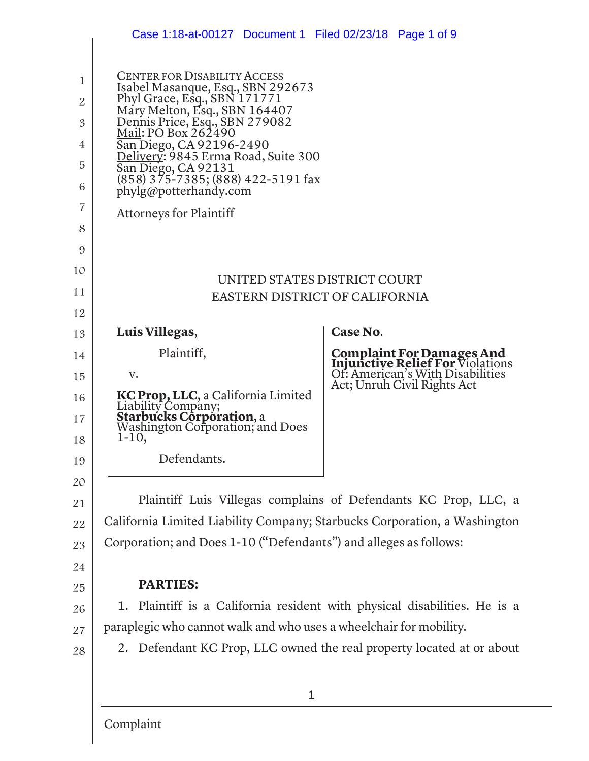|                | Case 1:18-at-00127  Document 1  Filed 02/23/18  Page 1 of 9                          |          |                                                                                                            |
|----------------|--------------------------------------------------------------------------------------|----------|------------------------------------------------------------------------------------------------------------|
| 1              | <b>CENTER FOR DISABILITY ACCESS</b><br>Isabel Masanque, Esq., SBN 292673             |          |                                                                                                            |
| $\overline{2}$ | Phyl Grace, Esq., SBN 171771<br>Mary Melton, Esq., SBN 164407                        |          |                                                                                                            |
| 3              | Dennis Price, Esq., SBN 279082<br><u> Mail: PO Box 262490</u>                        |          |                                                                                                            |
| 4              | San Diego, CA 92196-2490<br><u> Delivery</u> : 9845 Erma Road, Suite 300             |          |                                                                                                            |
| 5<br>6         | San Diego, CA 92131<br>(858) 375-7385; (888) 422-5191 fax<br>phylg@potterhandy.com   |          |                                                                                                            |
| 7              | <b>Attorneys for Plaintiff</b>                                                       |          |                                                                                                            |
| 8              |                                                                                      |          |                                                                                                            |
| 9              |                                                                                      |          |                                                                                                            |
| 10             | UNITED STATES DISTRICT COURT                                                         |          |                                                                                                            |
| 11             | EASTERN DISTRICT OF CALIFORNIA                                                       |          |                                                                                                            |
| 12             |                                                                                      |          |                                                                                                            |
| 13             | Luis Villegas,                                                                       | Case No. |                                                                                                            |
| 14             | Plaintiff,                                                                           |          | <b>Complaint For Damages And<br/>Injunctive Relief For Violations<br/>Of: American's With Disabilities</b> |
| 15             | v.                                                                                   |          | Act; Unruh Civil Rights Act                                                                                |
| 16<br>17       | KC Prop, LLC, a California Limited<br>Liability Company;<br>Starbucks Corporation, a |          |                                                                                                            |
| 18             | Washington Corporation; and Does<br>1-10,                                            |          |                                                                                                            |
| 19             | Defendants.                                                                          |          |                                                                                                            |
| 20             |                                                                                      |          |                                                                                                            |
| 21             | Plaintiff Luis Villegas complains of Defendants KC Prop, LLC, a                      |          |                                                                                                            |
| 22             | California Limited Liability Company; Starbucks Corporation, a Washington            |          |                                                                                                            |
| 23             | Corporation; and Does 1-10 ("Defendants") and alleges as follows:                    |          |                                                                                                            |
| 24             |                                                                                      |          |                                                                                                            |
| 25             | <b>PARTIES:</b>                                                                      |          |                                                                                                            |
| 26             | 1. Plaintiff is a California resident with physical disabilities. He is a            |          |                                                                                                            |
| 27             | paraplegic who cannot walk and who uses a wheelchair for mobility.                   |          |                                                                                                            |
| 28             | 2. Defendant KC Prop, LLC owned the real property located at or about                |          |                                                                                                            |
|                | 1                                                                                    |          |                                                                                                            |
|                | Complaint                                                                            |          |                                                                                                            |

 $\overline{\phantom{a}}$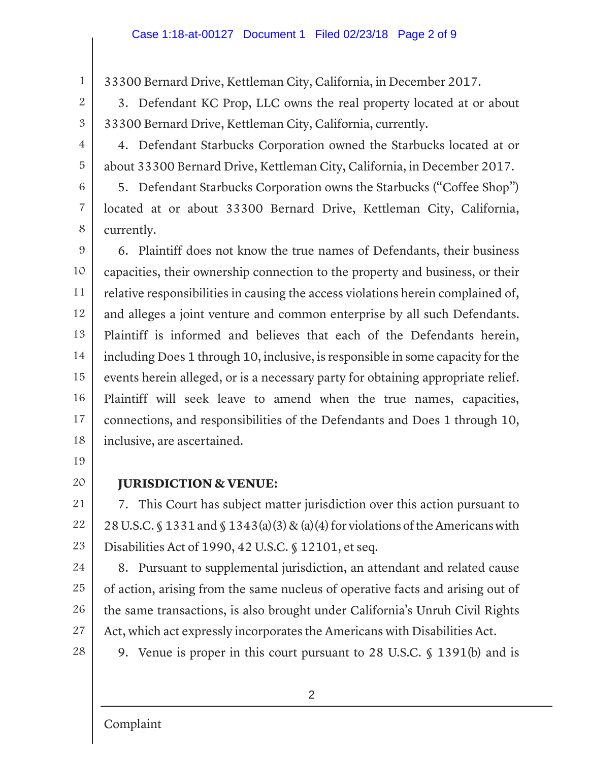33300 Bernard Drive, Kettleman City, California, in December 2017.

3. Defendant KC Prop, LLC owns the real property located at or about 33300 Bernard Drive, Kettleman City, California, currently.

4. Defendant Starbucks Corporation owned the Starbucks located at or about 33300 Bernard Drive, Kettleman City, California, in December 2017.

5. Defendant Starbucks Corporation owns the Starbucks ("Coffee Shop") located at or about 33300 Bernard Drive, Kettleman City, California, currently.

9 10 11 12 13 14 15 16 17 18 6. Plaintiff does not know the true names of Defendants, their business capacities, their ownership connection to the property and business, or their relative responsibilities in causing the access violations herein complained of, and alleges a joint venture and common enterprise by all such Defendants. Plaintiff is informed and believes that each of the Defendants herein, including Does 1 through 10, inclusive, is responsible in some capacity for the events herein alleged, or is a necessary party for obtaining appropriate relief. Plaintiff will seek leave to amend when the true names, capacities, connections, and responsibilities of the Defendants and Does 1 through 10, inclusive, are ascertained.

19

1

2

3

4

5

6

7

8

20

## **JURISDICTION & VENUE:**

21 22 23 7. This Court has subject matter jurisdiction over this action pursuant to 28 U.S.C. § 1331 and § 1343(a)(3) & (a)(4) for violations of the Americans with Disabilities Act of 1990, 42 U.S.C. § 12101, et seq.

24

25 26 27 8. Pursuant to supplemental jurisdiction, an attendant and related cause of action, arising from the same nucleus of operative facts and arising out of the same transactions, is also brought under California's Unruh Civil Rights Act, which act expressly incorporates the Americans with Disabilities Act.

28

9. Venue is proper in this court pursuant to 28 U.S.C. § 1391(b) and is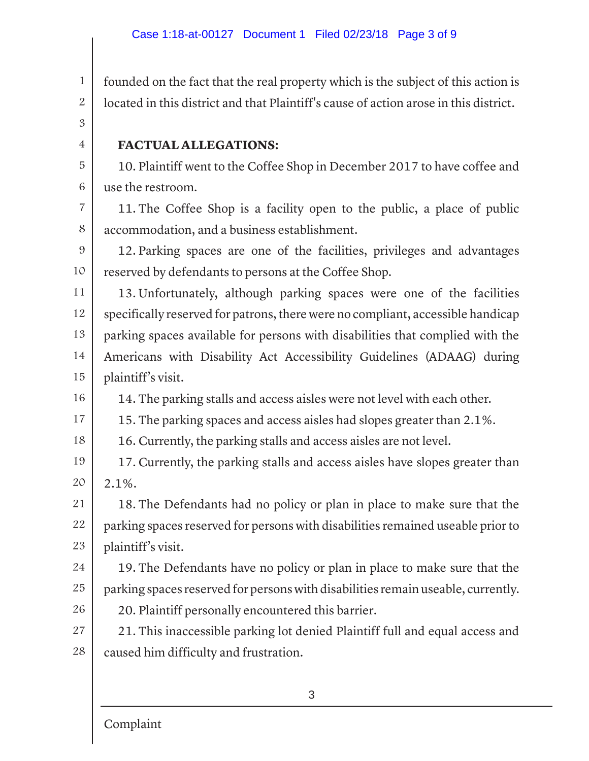founded on the fact that the real property which is the subject of this action is located in this district and that Plaintiff's cause of action arose in this district.

3

4

5

6

1

2

## **FACTUAL ALLEGATIONS:**

10. Plaintiff went to the Coffee Shop in December 2017 to have coffee and use the restroom.

7 8 11. The Coffee Shop is a facility open to the public, a place of public accommodation, and a business establishment.

9 10 12. Parking spaces are one of the facilities, privileges and advantages reserved by defendants to persons at the Coffee Shop.

11 12 13 14 15 13. Unfortunately, although parking spaces were one of the facilities specifically reserved for patrons, there were no compliant, accessible handicap parking spaces available for persons with disabilities that complied with the Americans with Disability Act Accessibility Guidelines (ADAAG) during plaintiff's visit.

16 14. The parking stalls and access aisles were not level with each other.

17 15. The parking spaces and access aisles had slopes greater than 2.1%.

18 16. Currently, the parking stalls and access aisles are not level.

19 20 17. Currently, the parking stalls and access aisles have slopes greater than 2.1%.

21 22 23 18. The Defendants had no policy or plan in place to make sure that the parking spaces reserved for persons with disabilities remained useable prior to plaintiff's visit.

24 25 19. The Defendants have no policy or plan in place to make sure that the parking spaces reserved for persons with disabilities remain useable, currently.

20. Plaintiff personally encountered this barrier.

27 28 21. This inaccessible parking lot denied Plaintiff full and equal access and caused him difficulty and frustration.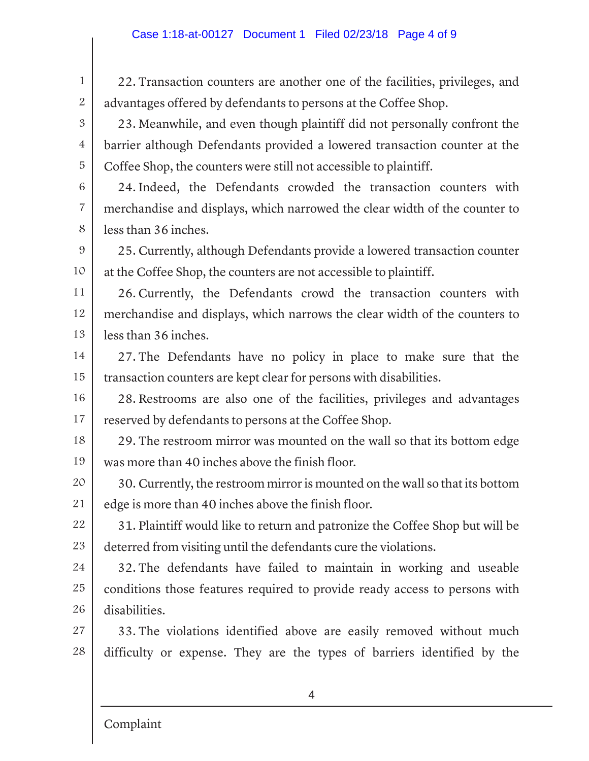22. Transaction counters are another one of the facilities, privileges, and advantages offered by defendants to persons at the Coffee Shop.

23. Meanwhile, and even though plaintiff did not personally confront the barrier although Defendants provided a lowered transaction counter at the Coffee Shop, the counters were still not accessible to plaintiff.

24. Indeed, the Defendants crowded the transaction counters with merchandise and displays, which narrowed the clear width of the counter to less than 36 inches.

9 10 25. Currently, although Defendants provide a lowered transaction counter at the Coffee Shop, the counters are not accessible to plaintiff.

11 12 13 26. Currently, the Defendants crowd the transaction counters with merchandise and displays, which narrows the clear width of the counters to less than 36 inches.

14 15 27. The Defendants have no policy in place to make sure that the transaction counters are kept clear for persons with disabilities.

16 17 28. Restrooms are also one of the facilities, privileges and advantages reserved by defendants to persons at the Coffee Shop.

18 19 29. The restroom mirror was mounted on the wall so that its bottom edge was more than 40 inches above the finish floor.

20 21 30. Currently, the restroom mirror is mounted on the wall so that its bottom edge is more than 40 inches above the finish floor.

22 23 31. Plaintiff would like to return and patronize the Coffee Shop but will be deterred from visiting until the defendants cure the violations.

24 25 26 32. The defendants have failed to maintain in working and useable conditions those features required to provide ready access to persons with disabilities.

27 28 33. The violations identified above are easily removed without much difficulty or expense. They are the types of barriers identified by the

Complaint

1

2

3

4

5

6

7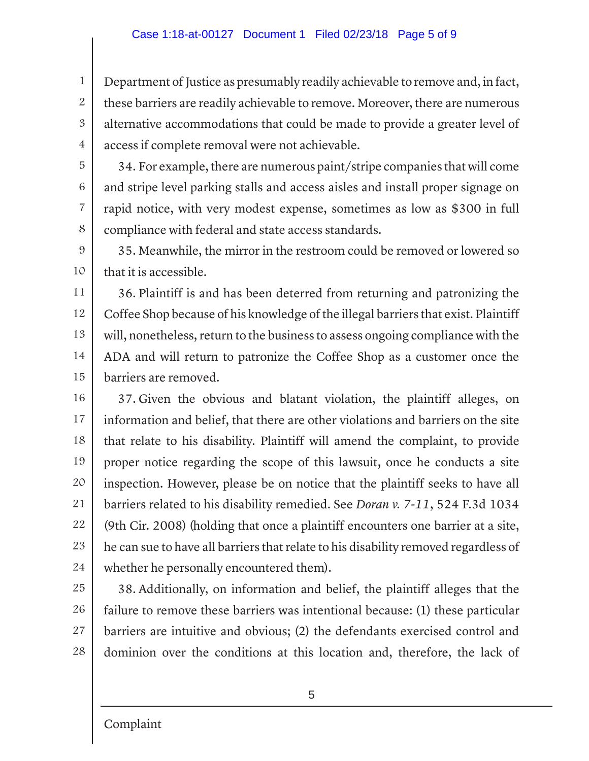## Case 1:18-at-00127 Document 1 Filed 02/23/18 Page 5 of 9

Department of Justice as presumably readily achievable to remove and, in fact, these barriers are readily achievable to remove. Moreover, there are numerous alternative accommodations that could be made to provide a greater level of access if complete removal were not achievable.

34. For example, there are numerous paint/stripe companies that will come and stripe level parking stalls and access aisles and install proper signage on rapid notice, with very modest expense, sometimes as low as \$300 in full compliance with federal and state access standards.

9 10 35. Meanwhile, the mirror in the restroom could be removed or lowered so that it is accessible.

11 12 13 14 15 36. Plaintiff is and has been deterred from returning and patronizing the Coffee Shop because of his knowledge of the illegal barriers that exist. Plaintiff will, nonetheless, return to the business to assess ongoing compliance with the ADA and will return to patronize the Coffee Shop as a customer once the barriers are removed.

16 17 18 19 20 21 22 23 24 37. Given the obvious and blatant violation, the plaintiff alleges, on information and belief, that there are other violations and barriers on the site that relate to his disability. Plaintiff will amend the complaint, to provide proper notice regarding the scope of this lawsuit, once he conducts a site inspection. However, please be on notice that the plaintiff seeks to have all barriers related to his disability remedied. See *Doran v. 7-11*, 524 F.3d 1034 (9th Cir. 2008) (holding that once a plaintiff encounters one barrier at a site, he can sue to have all barriers that relate to his disability removed regardless of whether he personally encountered them).

25 26 27 28 38. Additionally, on information and belief, the plaintiff alleges that the failure to remove these barriers was intentional because: (1) these particular barriers are intuitive and obvious; (2) the defendants exercised control and dominion over the conditions at this location and, therefore, the lack of

1

2

3

4

5

6

7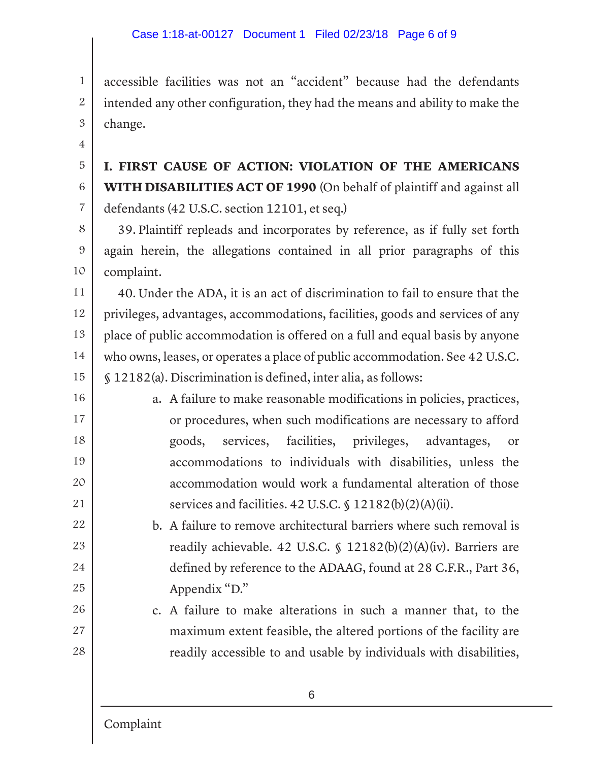accessible facilities was not an "accident" because had the defendants intended any other configuration, they had the means and ability to make the change.

**I. FIRST CAUSE OF ACTION: VIOLATION OF THE AMERICANS WITH DISABILITIES ACT OF 1990** (On behalf of plaintiff and against all defendants (42 U.S.C. section 12101, et seq.)

8 9 10 39. Plaintiff repleads and incorporates by reference, as if fully set forth again herein, the allegations contained in all prior paragraphs of this complaint.

11 12 13 14 15 40. Under the ADA, it is an act of discrimination to fail to ensure that the privileges, advantages, accommodations, facilities, goods and services of any place of public accommodation is offered on a full and equal basis by anyone who owns, leases, or operates a place of public accommodation. See 42 U.S.C. § 12182(a). Discrimination is defined, inter alia, as follows:

16 17 18 19 20 21 a. A failure to make reasonable modifications in policies, practices, or procedures, when such modifications are necessary to afford goods, services, facilities, privileges, advantages, or accommodations to individuals with disabilities, unless the accommodation would work a fundamental alteration of those services and facilities. 42 U.S.C. § 12182(b)(2)(A)(ii).

> b. A failure to remove architectural barriers where such removal is readily achievable. 42 U.S.C. § 12182(b)(2)(A)(iv). Barriers are defined by reference to the ADAAG, found at 28 C.F.R., Part 36, Appendix "D."

c. A failure to make alterations in such a manner that, to the maximum extent feasible, the altered portions of the facility are readily accessible to and usable by individuals with disabilities,

1

2

3

4

5

6

7

22

23

24

25

26

27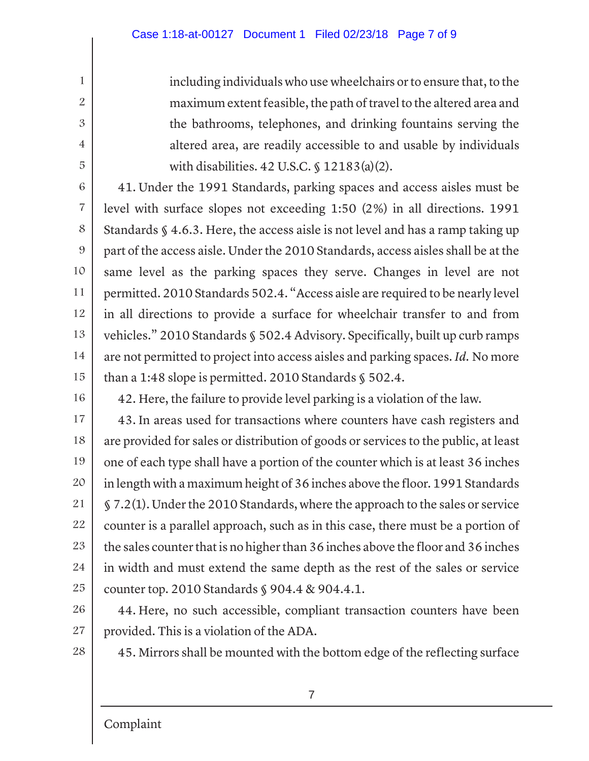including individuals who use wheelchairs or to ensure that, to the maximum extent feasible, the path of travel to the altered area and the bathrooms, telephones, and drinking fountains serving the altered area, are readily accessible to and usable by individuals with disabilities. 42 U.S.C. § 12183(a)(2).

6 7 8 9 10 11 12 13 14 15 41. Under the 1991 Standards, parking spaces and access aisles must be level with surface slopes not exceeding 1:50 (2%) in all directions. 1991 Standards § 4.6.3. Here, the access aisle is not level and has a ramp taking up part of the access aisle. Under the 2010 Standards, access aisles shall be at the same level as the parking spaces they serve. Changes in level are not permitted. 2010 Standards 502.4. "Access aisle are required to be nearly level in all directions to provide a surface for wheelchair transfer to and from vehicles." 2010 Standards § 502.4 Advisory. Specifically, built up curb ramps are not permitted to project into access aisles and parking spaces. *Id.* No more than a 1:48 slope is permitted. 2010 Standards § 502.4.

16

1

2

3

4

5

42. Here, the failure to provide level parking is a violation of the law.

17 18 19 20 21 22 23 24 25 43. In areas used for transactions where counters have cash registers and are provided for sales or distribution of goods or services to the public, at least one of each type shall have a portion of the counter which is at least 36 inches in length with a maximum height of 36 inches above the floor. 1991 Standards § 7.2(1). Under the 2010 Standards, where the approach to the sales or service counter is a parallel approach, such as in this case, there must be a portion of the sales counter that is no higher than 36 inches above the floor and 36 inches in width and must extend the same depth as the rest of the sales or service counter top. 2010 Standards § 904.4 & 904.4.1.

26 27

44. Here, no such accessible, compliant transaction counters have been provided. This is a violation of the ADA.

28

45. Mirrors shall be mounted with the bottom edge of the reflecting surface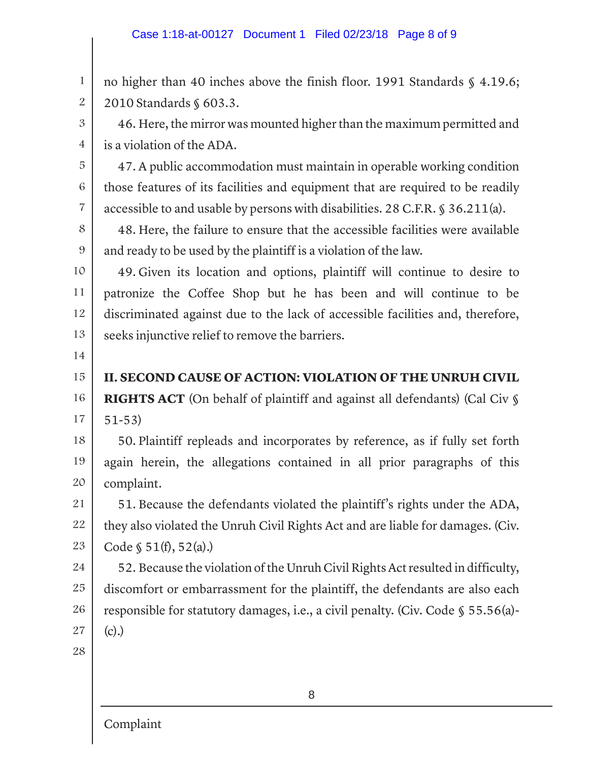no higher than 40 inches above the finish floor. 1991 Standards § 4.19.6; 2010 Standards § 603.3.

46. Here, the mirror was mounted higher than the maximum permitted and is a violation of the ADA.

47. A public accommodation must maintain in operable working condition those features of its facilities and equipment that are required to be readily accessible to and usable by persons with disabilities. 28 C.F.R. § 36.211(a).

48. Here, the failure to ensure that the accessible facilities were available and ready to be used by the plaintiff is a violation of the law.

10 11 12 13 49. Given its location and options, plaintiff will continue to desire to patronize the Coffee Shop but he has been and will continue to be discriminated against due to the lack of accessible facilities and, therefore, seeks injunctive relief to remove the barriers.

14

1

2

3

4

5

6

7

8

9

15 **II. SECOND CAUSE OF ACTION: VIOLATION OF THE UNRUH CIVIL** 

16 17 **RIGHTS ACT** (On behalf of plaintiff and against all defendants) (Cal Civ § 51-53)

18 19 20 50. Plaintiff repleads and incorporates by reference, as if fully set forth again herein, the allegations contained in all prior paragraphs of this complaint.

21 22 23 51. Because the defendants violated the plaintiff's rights under the ADA, they also violated the Unruh Civil Rights Act and are liable for damages. (Civ. Code § 51(f), 52(a).)

24 25 26 27 52. Because the violation of the Unruh Civil Rights Act resulted in difficulty, discomfort or embarrassment for the plaintiff, the defendants are also each responsible for statutory damages, i.e., a civil penalty. (Civ. Code § 55.56(a)- (c).)